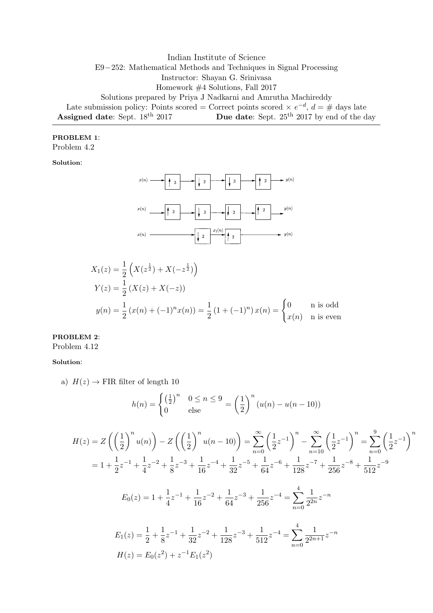Indian Institute of Science E9−252: Mathematical Methods and Techniques in Signal Processing Instructor: Shayan G. Srinivasa Homework #4 Solutions, Fall 2017 Solutions prepared by Priya J Nadkarni and Amrutha Machireddy Late submission policy: Points scored = Correct points scored  $\times e^{-d}$ ,  $d = \#$  days late Assigned date: Sept. 18<sup>th</sup> 2017 Due date: Sept. 25<sup>th</sup> 2017 by end of the day

### PROBLEM 1:

Problem 4.2

Solution:



$$
X_1(z) = \frac{1}{2} \left( X(z^{\frac{1}{2}}) + X(-z^{\frac{1}{2}}) \right)
$$
  
\n
$$
Y(z) = \frac{1}{2} \left( X(z) + X(-z) \right)
$$
  
\n
$$
y(n) = \frac{1}{2} \left( x(n) + (-1)^n x(n) \right) = \frac{1}{2} \left( 1 + (-1)^n \right) x(n) = \begin{cases} 0 & \text{if } n \text{ is odd} \\ x(n) & \text{if } n \text{ is even} \end{cases}
$$

## PROBLEM 2:

Problem 4.12

#### Solution:

a)  $H(z) \rightarrow$  FIR filter of length 10

$$
h(n) = \begin{cases} \left(\frac{1}{2}\right)^n & 0 \le n \le 9\\ 0 & \text{else} \end{cases} = \left(\frac{1}{2}\right)^n (u(n) - u(n-10))
$$

$$
H(z) = Z\left(\left(\frac{1}{2}\right)^n u(n)\right) - Z\left(\left(\frac{1}{2}\right)^n u(n-10)\right) = \sum_{n=0}^{\infty} \left(\frac{1}{2}z^{-1}\right)^n - \sum_{n=10}^{\infty} \left(\frac{1}{2}z^{-1}\right)^n = \sum_{n=0}^9 \left(\frac{1}{2}z^{-1}\right)^n
$$
  
\n
$$
= 1 + \frac{1}{2}z^{-1} + \frac{1}{4}z^{-2} + \frac{1}{8}z^{-3} + \frac{1}{16}z^{-4} + \frac{1}{32}z^{-5} + \frac{1}{64}z^{-6} + \frac{1}{128}z^{-7} + \frac{1}{256}z^{-8} + \frac{1}{512}z^{-9}
$$
  
\n
$$
E_0(z) = 1 + \frac{1}{4}z^{-1} + \frac{1}{16}z^{-2} + \frac{1}{64}z^{-3} + \frac{1}{256}z^{-4} = \sum_{n=0}^4 \frac{1}{2^{2n}}z^{-n}
$$
  
\n
$$
E_1(z) = \frac{1}{2} + \frac{1}{8}z^{-1} + \frac{1}{32}z^{-2} + \frac{1}{128}z^{-3} + \frac{1}{512}z^{-4} = \sum_{n=0}^4 \frac{1}{2^{2n+1}}z^{-n}
$$
  
\n
$$
H(z) = E_0(z^2) + z^{-1}E_1(z^2)
$$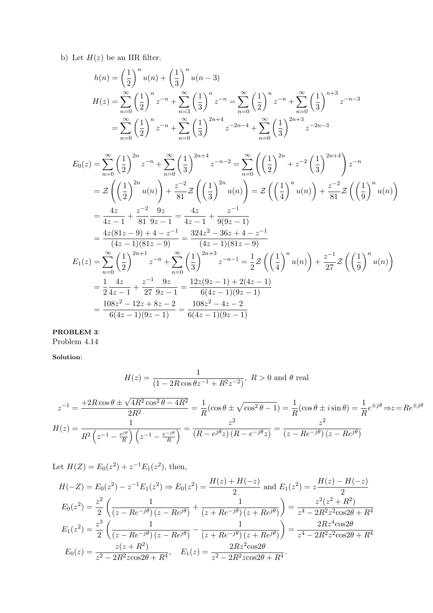b) Let  $H(z)$  be an IIR filter.

$$
h(n) = \left(\frac{1}{2}\right)^n u(n) + \left(\frac{1}{3}\right)^n u(n-3)
$$
  
\n
$$
H(z) = \sum_{n=0}^{\infty} \left(\frac{1}{2}\right)^n z^{-n} + \sum_{n=3}^{\infty} \left(\frac{1}{3}\right)^n z^{-n} = \sum_{n=0}^{\infty} \left(\frac{1}{2}\right)^n z^{-n} + \sum_{n=0}^{\infty} \left(\frac{1}{3}\right)^{n+3} z^{-n-3}
$$
  
\n
$$
= \sum_{n=0}^{\infty} \left(\frac{1}{2}\right)^n z^{-n} + \sum_{n=0}^{\infty} \left(\frac{1}{3}\right)^{2n+4} z^{-2n-4} + \sum_{n=0}^{\infty} \left(\frac{1}{3}\right)^{2n+3} z^{-2n-3}
$$

$$
E_0(z) = \sum_{n=0}^{\infty} \left(\frac{1}{2}\right)^{2n} z^{-n} + \sum_{n=0}^{\infty} \left(\frac{1}{3}\right)^{2n+4} z^{-n-2} = \sum_{n=0}^{\infty} \left(\left(\frac{1}{2}\right)^{2n} + z^{-2} \left(\frac{1}{3}\right)^{2n+4}\right) z^{-n}
$$
  
\n
$$
= \mathcal{Z}\left(\left(\frac{1}{2}\right)^{2n} u(n)\right) + \frac{z^{-2}}{81} \mathcal{Z}\left(\left(\frac{1}{3}\right)^{2n} u(n)\right) = \mathcal{Z}\left(\left(\frac{1}{4}\right)^{n} u(n)\right) + \frac{z^{-2}}{81} \mathcal{Z}\left(\left(\frac{1}{9}\right)^{n} u(n)\right)
$$
  
\n
$$
= \frac{4z}{4z-1} + \frac{z^{-2}}{81} \frac{9z}{9z-1} = \frac{4z}{4z-1} + \frac{z^{-1}}{9(9z-1)}
$$
  
\n
$$
= \frac{4z(81z-9) + 4 - z^{-1}}{(4z-1)(81z-9)} = \frac{324z^2 - 36z + 4 - z^{-1}}{(4z-1)(81z-9)}
$$
  
\n
$$
E_1(z) = \sum_{n=0}^{\infty} \left(\frac{1}{2}\right)^{2n+1} z^{-n} + \sum_{n=0}^{\infty} \left(\frac{1}{3}\right)^{2n+3} z^{-n-1} = \frac{1}{2} \mathcal{Z}\left(\left(\frac{1}{4}\right)^{n} u(n)\right) + \frac{z^{-1}}{27} \mathcal{Z}\left(\left(\frac{1}{9}\right)^{n} u(n)\right)
$$
  
\n
$$
= \frac{1}{2} \frac{4z}{4z-1} + \frac{z^{-1}}{27} \frac{9z}{9z-1} = \frac{12z(9z-1) + 2(4z-1)}{6(4z-1)(9z-1)}
$$
  
\n
$$
= \frac{108z^2 - 12z + 8z - 2}{6(4z-1)(9z-1)} = \frac{108z^2 - 4z - 2}{6(4z-1)(9z-1)}
$$

# PROBLEM 3:

Problem 4.14

Solution:

$$
H(z) = \frac{1}{(1 - 2R\cos\theta z^{-1} + R^2 z^{-2})}, R > 0 \text{ and } \theta \text{ real}
$$

$$
z^{-1} = \frac{+2R\cos\theta \pm \sqrt{4R^2\cos^2\theta - 4R^2}}{2R^2} = \frac{1}{R}(\cos\theta \pm \sqrt{\cos^2\theta - 1}) = \frac{1}{R}(\cos\theta \pm i\sin\theta) = \frac{1}{R}e^{\pm j\theta} \Rightarrow z = Re^{\pm j\theta}
$$

$$
H(z) = \frac{1}{R^2\left(z^{-1} - \frac{e^{j\theta}}{R}\right)\left(z^{-1} - \frac{e^{-j\theta}}{R}\right)} = \frac{z^2}{(R - e^{j\theta}z)(R - e^{-j\theta}z)} = \frac{z^2}{(z - Re^{-j\theta})(z - Re^{j\theta})}
$$

Let  $H(Z) = E_0(z^2) + z^{-1}E_1(z^2)$ , then,

$$
H(-Z) = E_0(z^2) - z^{-1}E_1(z^2) \Rightarrow E_0(z^2) = \frac{H(z) + H(-z)}{2} \text{ and } E_1(z^2) = z \frac{H(z) - H(-z)}{2}
$$
  
\n
$$
E_0(z^2) = \frac{z^2}{2} \left( \frac{1}{(z - Re^{-j\theta})(z - Re^{j\theta})} + \frac{1}{(z + Re^{-j\theta})(z + Re^{j\theta})} \right) = \frac{z^2(z^2 + R^2)}{z^4 - 2R^2z^2\cos 2\theta + R^4}
$$
  
\n
$$
E_1(z^2) = \frac{z^3}{2} \left( \frac{1}{(z - Re^{-j\theta})(z - Re^{j\theta})} - \frac{1}{(z + Re^{-j\theta})(z + Re^{j\theta})} \right) = \frac{2Rz^4\cos 2\theta}{z^4 - 2R^2z^2\cos 2\theta + R^4}
$$
  
\n
$$
E_0(z) = \frac{z(z + R^2)}{z^2 - 2R^2z\cos 2\theta + R^4}, \quad E_1(z) = \frac{2Rz^2\cos 2\theta}{z^2 - 2R^2z\cos 2\theta + R^4}.
$$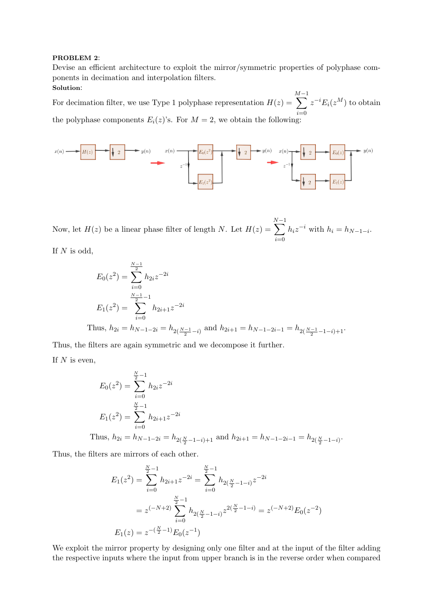#### PROBLEM 2:

Devise an efficient architecture to exploit the mirror/symmetric properties of polyphase components in decimation and interpolation filters. Solution:

For decimation filter, we use Type 1 polyphase representation  $H(z)$  =  $\sum^{M-1}$  $i=0$  $z^{-i}E_i(z^M)$  to obtain the polyphase components  $E_i(z)$ 's. For  $M = 2$ , we obtain the following:



Now, let  $H(z)$  be a linear phase filter of length N. Let  $H(z)$  =  $\sum^{N-1}$  $i=0$  $h_i z^{-i}$  with  $h_i = h_{N-1-i}$ .

If  $N$  is odd,

$$
E_0(z^2) = \sum_{i=0}^{\frac{N-1}{2}} h_{2i} z^{-2i}
$$
  
\n
$$
E_1(z^2) = \sum_{i=0}^{\frac{N-1}{2}-1} h_{2i+1} z^{-2i}
$$
  
\nThus,  $h_{2i} = h_{N-1-2i} = h_{2(\frac{N-1}{2}-i)}$  and  $h_{2i+1} = h_{N-1-2i-1} = h_{2(\frac{N-1}{2}-1-i)+1}$ .

Thus, the filters are again symmetric and we decompose it further.

If  $N$  is even,

$$
E_0(z^2) = \sum_{i=0}^{\frac{N}{2}-1} h_{2i} z^{-2i}
$$
  
\n
$$
E_1(z^2) = \sum_{i=0}^{\frac{N}{2}-1} h_{2i+1} z^{-2i}
$$
  
\nThus,  $h_{2i} = h_{N-1-2i} = h_{2(\frac{N}{2}-1-i)+1}$  and  $h_{2i+1} = h_{N-1-2i-1} = h_{2(\frac{N}{2}-1-i)}$ .

Thus, the filters are mirrors of each other.

$$
E_1(z^2) = \sum_{i=0}^{\frac{N}{2}-1} h_{2i+1} z^{-2i} = \sum_{i=0}^{\frac{N}{2}-1} h_{2(\frac{N}{2}-1-i)} z^{-2i}
$$
  
=  $z^{(-N+2)} \sum_{i=0}^{\frac{N}{2}-1} h_{2(\frac{N}{2}-1-i)} z^{2(\frac{N}{2}-1-i)} = z^{(-N+2)} E_0(z^{-2})$   

$$
E_1(z) = z^{-(\frac{N}{2}-1)} E_0(z^{-1})
$$

We exploit the mirror property by designing only one filter and at the input of the filter adding the respective inputs where the input from upper branch is in the reverse order when compared